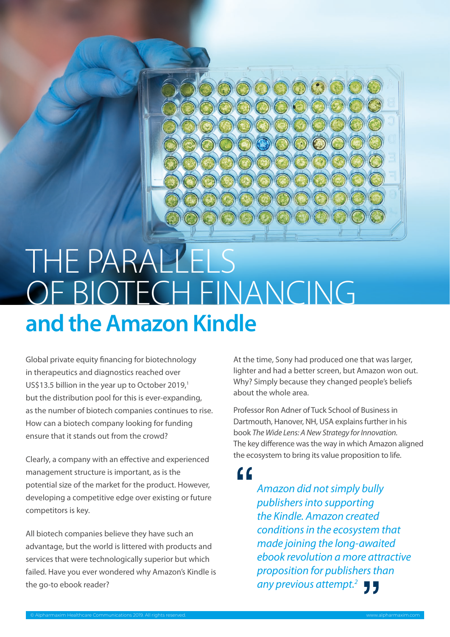## **and the Amazon Kindle** THE PARALLELS OF BIOTECH FINANCING

Global private equity financing for biotechnology in therapeutics and diagnostics reached over US\$13.5 billion in the year up to October 2019, $<sup>1</sup>$ </sup> but the distribution pool for this is ever-expanding, as the number of biotech companies continues to rise. How can a biotech company looking for funding ensure that it stands out from the crowd?

Clearly, a company with an effective and experienced management structure is important, as is the potential size of the market for the product. However, developing a competitive edge over existing or future competitors is key.

All biotech companies believe they have such an advantage, but the world is littered with products and services that were technologically superior but which failed. Have you ever wondered why Amazon's Kindle is the go-to ebook reader?

At the time, Sony had produced one that was larger, lighter and had a better screen, but Amazon won out. Why? Simply because they changed people's beliefs about the whole area.

Professor Ron Adner of Tuck School of Business in Dartmouth, Hanover, NH, USA explains further in his book *The Wide Lens: A New Strategy for Innovation.* The key difference was the way in which Amazon aligned the ecosystem to bring its value proposition to life.

 $\epsilon$ *Amazon did not simply bully publishers into supporting the Kindle. Amazon created conditions in the ecosystem that made joining the long-awaited ebook revolution a more attractive proposition for publishers than any previous attempt.2*